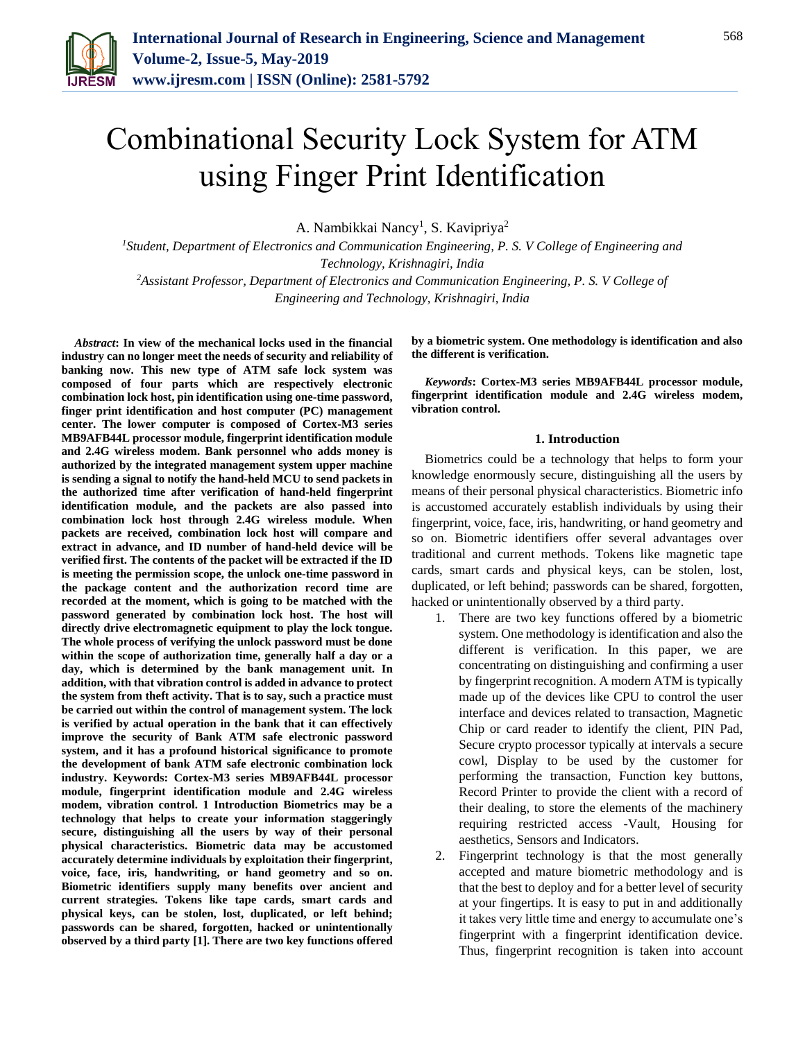

# Combinational Security Lock System for ATM using Finger Print Identification

A. Nambikkai Nancy<sup>1</sup>, S. Kavipriya<sup>2</sup>

*<sup>1</sup>Student, Department of Electronics and Communication Engineering, P. S. V College of Engineering and Technology, Krishnagiri, India*

*<sup>2</sup>Assistant Professor, Department of Electronics and Communication Engineering, P. S. V College of Engineering and Technology, Krishnagiri, India*

*Abstract***: In view of the mechanical locks used in the financial industry can no longer meet the needs of security and reliability of banking now. This new type of ATM safe lock system was composed of four parts which are respectively electronic combination lock host, pin identification using one-time password, finger print identification and host computer (PC) management center. The lower computer is composed of Cortex-M3 series MB9AFB44L processor module, fingerprint identification module and 2.4G wireless modem. Bank personnel who adds money is authorized by the integrated management system upper machine is sending a signal to notify the hand-held MCU to send packets in the authorized time after verification of hand-held fingerprint identification module, and the packets are also passed into combination lock host through 2.4G wireless module. When packets are received, combination lock host will compare and extract in advance, and ID number of hand-held device will be verified first. The contents of the packet will be extracted if the ID is meeting the permission scope, the unlock one-time password in the package content and the authorization record time are recorded at the moment, which is going to be matched with the password generated by combination lock host. The host will directly drive electromagnetic equipment to play the lock tongue. The whole process of verifying the unlock password must be done within the scope of authorization time, generally half a day or a day, which is determined by the bank management unit. In addition, with that vibration control is added in advance to protect the system from theft activity. That is to say, such a practice must be carried out within the control of management system. The lock is verified by actual operation in the bank that it can effectively improve the security of Bank ATM safe electronic password system, and it has a profound historical significance to promote the development of bank ATM safe electronic combination lock industry. Keywords: Cortex-M3 series MB9AFB44L processor module, fingerprint identification module and 2.4G wireless modem, vibration control. 1 Introduction Biometrics may be a technology that helps to create your information staggeringly secure, distinguishing all the users by way of their personal physical characteristics. Biometric data may be accustomed accurately determine individuals by exploitation their fingerprint, voice, face, iris, handwriting, or hand geometry and so on. Biometric identifiers supply many benefits over ancient and current strategies. Tokens like tape cards, smart cards and physical keys, can be stolen, lost, duplicated, or left behind; passwords can be shared, forgotten, hacked or unintentionally observed by a third party [1]. There are two key functions offered**  **by a biometric system. One methodology is identification and also the different is verification.**

*Keywords***: Cortex-M3 series MB9AFB44L processor module, fingerprint identification module and 2.4G wireless modem, vibration control.**

### **1. Introduction**

Biometrics could be a technology that helps to form your knowledge enormously secure, distinguishing all the users by means of their personal physical characteristics. Biometric info is accustomed accurately establish individuals by using their fingerprint, voice, face, iris, handwriting, or hand geometry and so on. Biometric identifiers offer several advantages over traditional and current methods. Tokens like magnetic tape cards, smart cards and physical keys, can be stolen, lost, duplicated, or left behind; passwords can be shared, forgotten, hacked or unintentionally observed by a third party.

- 1. There are two key functions offered by a biometric system. One methodology is identification and also the different is verification. In this paper, we are concentrating on distinguishing and confirming a user by fingerprint recognition. A modern ATM is typically made up of the devices like CPU to control the user interface and devices related to transaction, Magnetic Chip or card reader to identify the client, PIN Pad, Secure crypto processor typically at intervals a secure cowl, Display to be used by the customer for performing the transaction, Function key buttons, Record Printer to provide the client with a record of their dealing, to store the elements of the machinery requiring restricted access -Vault, Housing for aesthetics, Sensors and Indicators.
- 2. Fingerprint technology is that the most generally accepted and mature biometric methodology and is that the best to deploy and for a better level of security at your fingertips. It is easy to put in and additionally it takes very little time and energy to accumulate one's fingerprint with a fingerprint identification device. Thus, fingerprint recognition is taken into account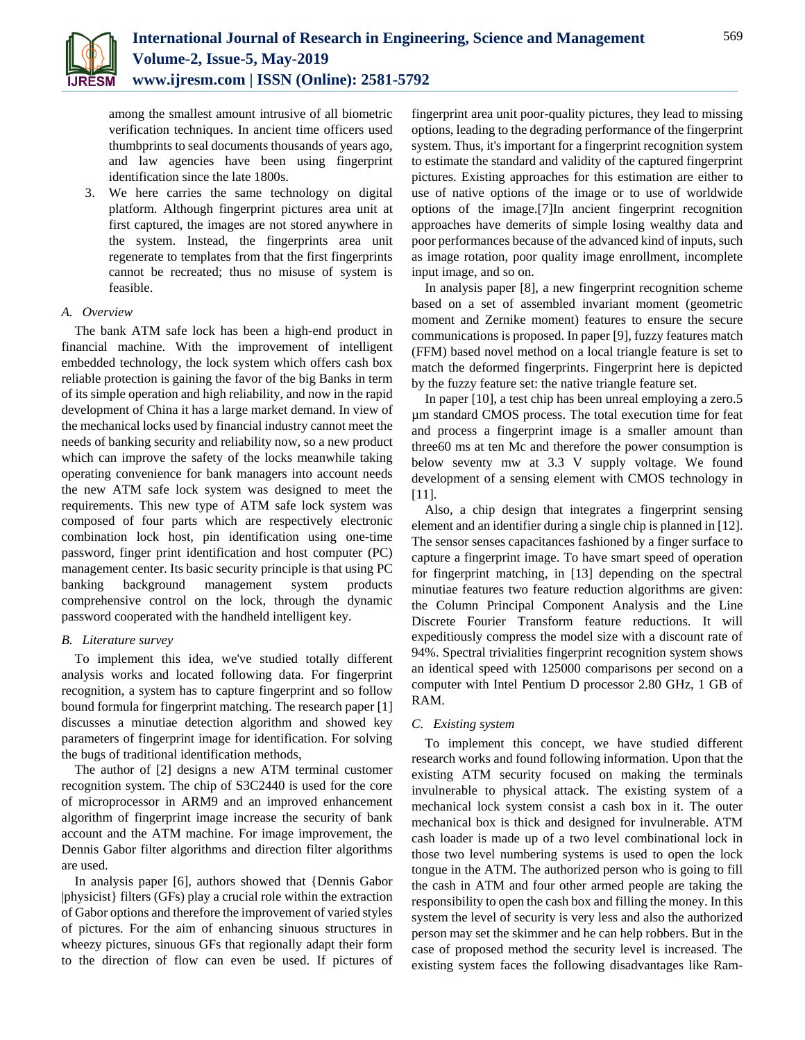

among the smallest amount intrusive of all biometric verification techniques. In ancient time officers used thumbprints to seal documents thousands of years ago, and law agencies have been using fingerprint identification since the late 1800s.

3. We here carries the same technology on digital platform. Although fingerprint pictures area unit at first captured, the images are not stored anywhere in the system. Instead, the fingerprints area unit regenerate to templates from that the first fingerprints cannot be recreated; thus no misuse of system is feasible.

## *A. Overview*

The bank ATM safe lock has been a high-end product in financial machine. With the improvement of intelligent embedded technology, the lock system which offers cash box reliable protection is gaining the favor of the big Banks in term of its simple operation and high reliability, and now in the rapid development of China it has a large market demand. In view of the mechanical locks used by financial industry cannot meet the needs of banking security and reliability now, so a new product which can improve the safety of the locks meanwhile taking operating convenience for bank managers into account needs the new ATM safe lock system was designed to meet the requirements. This new type of ATM safe lock system was composed of four parts which are respectively electronic combination lock host, pin identification using one-time password, finger print identification and host computer (PC) management center. Its basic security principle is that using PC banking background management system products comprehensive control on the lock, through the dynamic password cooperated with the handheld intelligent key.

# *B. Literature survey*

To implement this idea, we've studied totally different analysis works and located following data. For fingerprint recognition, a system has to capture fingerprint and so follow bound formula for fingerprint matching. The research paper [1] discusses a minutiae detection algorithm and showed key parameters of fingerprint image for identification. For solving the bugs of traditional identification methods,

The author of [2] designs a new ATM terminal customer recognition system. The chip of S3C2440 is used for the core of microprocessor in ARM9 and an improved enhancement algorithm of fingerprint image increase the security of bank account and the ATM machine. For image improvement, the Dennis Gabor filter algorithms and direction filter algorithms are used.

In analysis paper [6], authors showed that {Dennis Gabor |physicist} filters (GFs) play a crucial role within the extraction of Gabor options and therefore the improvement of varied styles of pictures. For the aim of enhancing sinuous structures in wheezy pictures, sinuous GFs that regionally adapt their form to the direction of flow can even be used. If pictures of fingerprint area unit poor-quality pictures, they lead to missing options, leading to the degrading performance of the fingerprint system. Thus, it's important for a fingerprint recognition system to estimate the standard and validity of the captured fingerprint pictures. Existing approaches for this estimation are either to use of native options of the image or to use of worldwide options of the image.[7]In ancient fingerprint recognition approaches have demerits of simple losing wealthy data and poor performances because of the advanced kind of inputs, such as image rotation, poor quality image enrollment, incomplete input image, and so on.

In analysis paper [8], a new fingerprint recognition scheme based on a set of assembled invariant moment (geometric moment and Zernike moment) features to ensure the secure communications is proposed. In paper [9], fuzzy features match (FFM) based novel method on a local triangle feature is set to match the deformed fingerprints. Fingerprint here is depicted by the fuzzy feature set: the native triangle feature set.

In paper [10], a test chip has been unreal employing a zero.5 µm standard CMOS process. The total execution time for feat and process a fingerprint image is a smaller amount than three60 ms at ten Mc and therefore the power consumption is below seventy mw at 3.3 V supply voltage. We found development of a sensing element with CMOS technology in [11].

Also, a chip design that integrates a fingerprint sensing element and an identifier during a single chip is planned in [12]. The sensor senses capacitances fashioned by a finger surface to capture a fingerprint image. To have smart speed of operation for fingerprint matching, in [13] depending on the spectral minutiae features two feature reduction algorithms are given: the Column Principal Component Analysis and the Line Discrete Fourier Transform feature reductions. It will expeditiously compress the model size with a discount rate of 94%. Spectral trivialities fingerprint recognition system shows an identical speed with 125000 comparisons per second on a computer with Intel Pentium D processor 2.80 GHz, 1 GB of RAM.

#### *C. Existing system*

To implement this concept, we have studied different research works and found following information. Upon that the existing ATM security focused on making the terminals invulnerable to physical attack. The existing system of a mechanical lock system consist a cash box in it. The outer mechanical box is thick and designed for invulnerable. ATM cash loader is made up of a two level combinational lock in those two level numbering systems is used to open the lock tongue in the ATM. The authorized person who is going to fill the cash in ATM and four other armed people are taking the responsibility to open the cash box and filling the money. In this system the level of security is very less and also the authorized person may set the skimmer and he can help robbers. But in the case of proposed method the security level is increased. The existing system faces the following disadvantages like Ram-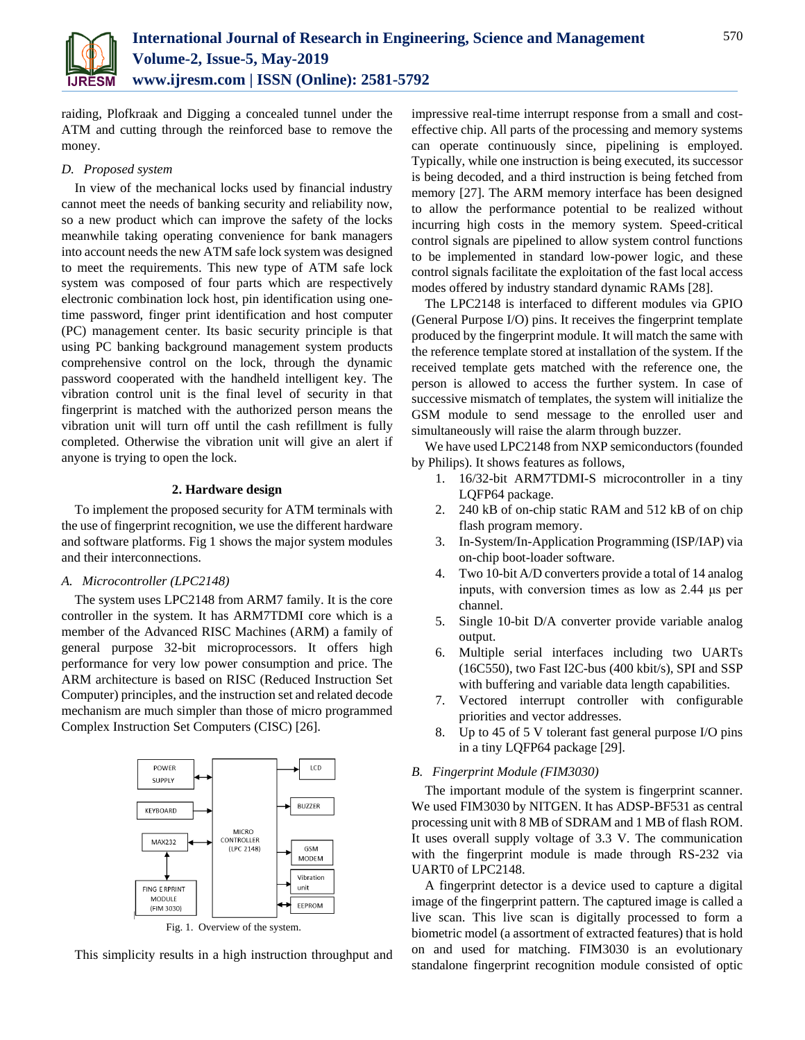

raiding, Plofkraak and Digging a concealed tunnel under the ATM and cutting through the reinforced base to remove the money.

# *D. Proposed system*

In view of the mechanical locks used by financial industry cannot meet the needs of banking security and reliability now, so a new product which can improve the safety of the locks meanwhile taking operating convenience for bank managers into account needs the new ATM safe lock system was designed to meet the requirements. This new type of ATM safe lock system was composed of four parts which are respectively electronic combination lock host, pin identification using onetime password, finger print identification and host computer (PC) management center. Its basic security principle is that using PC banking background management system products comprehensive control on the lock, through the dynamic password cooperated with the handheld intelligent key. The vibration control unit is the final level of security in that fingerprint is matched with the authorized person means the vibration unit will turn off until the cash refillment is fully completed. Otherwise the vibration unit will give an alert if anyone is trying to open the lock.

## **2. Hardware design**

To implement the proposed security for ATM terminals with the use of fingerprint recognition, we use the different hardware and software platforms. Fig 1 shows the major system modules and their interconnections.

# *A. Microcontroller (LPC2148)*

The system uses LPC2148 from ARM7 family. It is the core controller in the system. It has ARM7TDMI core which is a member of the Advanced RISC Machines (ARM) a family of general purpose 32-bit microprocessors. It offers high performance for very low power consumption and price. The ARM architecture is based on RISC (Reduced Instruction Set Computer) principles, and the instruction set and related decode mechanism are much simpler than those of micro programmed Complex Instruction Set Computers (CISC) [26].



This simplicity results in a high instruction throughput and

impressive real-time interrupt response from a small and costeffective chip. All parts of the processing and memory systems can operate continuously since, pipelining is employed. Typically, while one instruction is being executed, its successor is being decoded, and a third instruction is being fetched from memory [27]. The ARM memory interface has been designed to allow the performance potential to be realized without incurring high costs in the memory system. Speed-critical control signals are pipelined to allow system control functions to be implemented in standard low-power logic, and these control signals facilitate the exploitation of the fast local access modes offered by industry standard dynamic RAMs [28].

The LPC2148 is interfaced to different modules via GPIO (General Purpose I/O) pins. It receives the fingerprint template produced by the fingerprint module. It will match the same with the reference template stored at installation of the system. If the received template gets matched with the reference one, the person is allowed to access the further system. In case of successive mismatch of templates, the system will initialize the GSM module to send message to the enrolled user and simultaneously will raise the alarm through buzzer.

We have used LPC2148 from NXP semiconductors (founded by Philips). It shows features as follows,

- 1. 16/32-bit ARM7TDMI-S microcontroller in a tiny LQFP64 package.
- 2. 240 kB of on-chip static RAM and 512 kB of on chip flash program memory.
- 3. In-System/In-Application Programming (ISP/IAP) via on-chip boot-loader software.
- 4. Two 10-bit A/D converters provide a total of 14 analog inputs, with conversion times as low as 2.44 μs per channel.
- 5. Single 10-bit D/A converter provide variable analog output.
- 6. Multiple serial interfaces including two UARTs (16C550), two Fast I2C-bus (400 kbit/s), SPI and SSP with buffering and variable data length capabilities.
- 7. Vectored interrupt controller with configurable priorities and vector addresses.
- 8. Up to 45 of 5 V tolerant fast general purpose I/O pins in a tiny LQFP64 package [29].

#### *B. Fingerprint Module (FIM3030)*

The important module of the system is fingerprint scanner. We used FIM3030 by NITGEN. It has ADSP-BF531 as central processing unit with 8 MB of SDRAM and 1 MB of flash ROM. It uses overall supply voltage of 3.3 V. The communication with the fingerprint module is made through RS-232 via UART0 of LPC2148.

A fingerprint detector is a device used to capture a digital image of the fingerprint pattern. The captured image is called a live scan. This live scan is digitally processed to form a biometric model (a assortment of extracted features) that is hold on and used for matching. FIM3030 is an evolutionary standalone fingerprint recognition module consisted of optic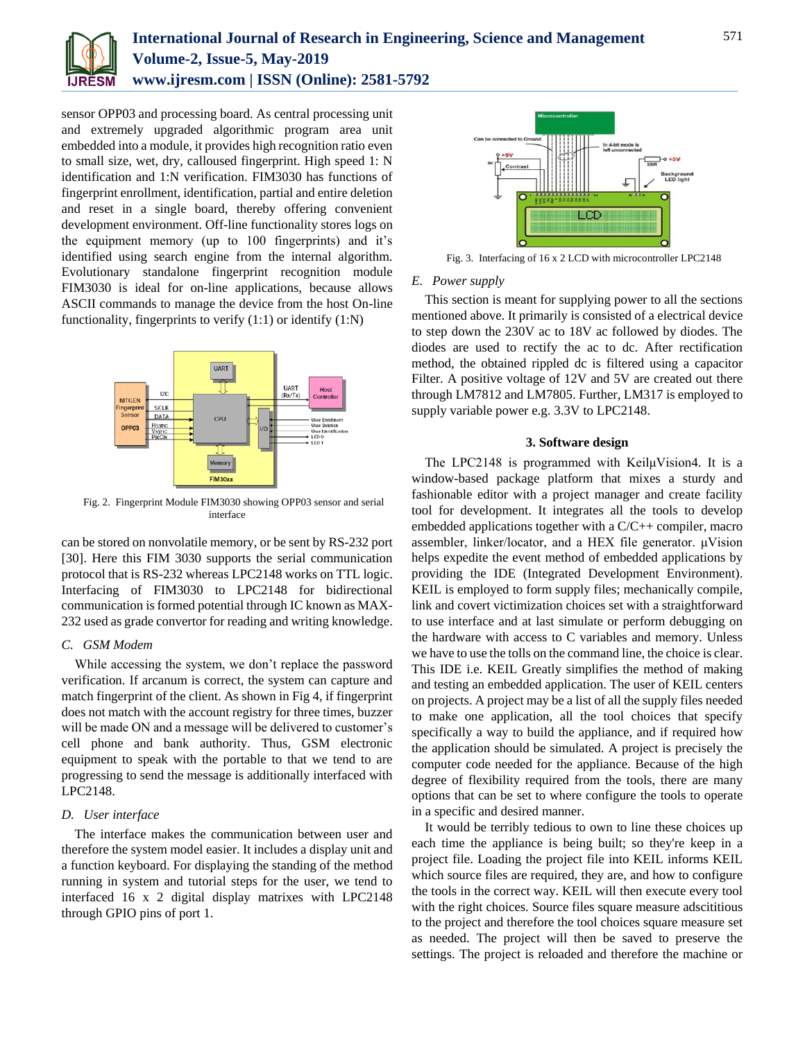

sensor OPP03 and processing board. As central processing unit and extremely upgraded algorithmic program area unit embedded into a module, it provides high recognition ratio even to small size, wet, dry, calloused fingerprint. High speed 1: N identification and 1:N verification. FIM3030 has functions of fingerprint enrollment, identification, partial and entire deletion and reset in a single board, thereby offering convenient development environment. Off-line functionality stores logs on the equipment memory (up to 100 fingerprints) and it's identified using search engine from the internal algorithm. Evolutionary standalone fingerprint recognition module FIM3030 is ideal for on-line applications, because allows ASCII commands to manage the device from the host On-line functionality, fingerprints to verify (1:1) or identify (1:N)



Fig. 2. Fingerprint Module FIM3030 showing OPP03 sensor and serial interface

can be stored on nonvolatile memory, or be sent by RS-232 port [30]. Here this FIM 3030 supports the serial communication protocol that is RS-232 whereas LPC2148 works on TTL logic. Interfacing of FIM3030 to LPC2148 for bidirectional communication is formed potential through IC known as MAX-232 used as grade convertor for reading and writing knowledge.

#### *C. GSM Modem*

While accessing the system, we don't replace the password verification. If arcanum is correct, the system can capture and match fingerprint of the client. As shown in Fig 4, if fingerprint does not match with the account registry for three times, buzzer will be made ON and a message will be delivered to customer's cell phone and bank authority. Thus, GSM electronic equipment to speak with the portable to that we tend to are progressing to send the message is additionally interfaced with LPC2148.

## *D. User interface*

The interface makes the communication between user and therefore the system model easier. It includes a display unit and a function keyboard. For displaying the standing of the method running in system and tutorial steps for the user, we tend to interfaced 16 x 2 digital display matrixes with LPC2148 through GPIO pins of port 1.



Fig. 3. Interfacing of 16 x 2 LCD with microcontroller LPC2148

## *E. Power supply*

This section is meant for supplying power to all the sections mentioned above. It primarily is consisted of a electrical device to step down the 230V ac to 18V ac followed by diodes. The diodes are used to rectify the ac to dc. After rectification method, the obtained rippled dc is filtered using a capacitor Filter. A positive voltage of 12V and 5V are created out there through LM7812 and LM7805. Further, LM317 is employed to supply variable power e.g. 3.3V to LPC2148.

#### **3. Software design**

The LPC2148 is programmed with KeilμVision4. It is a window-based package platform that mixes a sturdy and fashionable editor with a project manager and create facility tool for development. It integrates all the tools to develop embedded applications together with a C/C++ compiler, macro assembler, linker/locator, and a HEX file generator. μVision helps expedite the event method of embedded applications by providing the IDE (Integrated Development Environment). KEIL is employed to form supply files; mechanically compile, link and covert victimization choices set with a straightforward to use interface and at last simulate or perform debugging on the hardware with access to C variables and memory. Unless we have to use the tolls on the command line, the choice is clear. This IDE i.e. KEIL Greatly simplifies the method of making and testing an embedded application. The user of KEIL centers on projects. A project may be a list of all the supply files needed to make one application, all the tool choices that specify specifically a way to build the appliance, and if required how the application should be simulated. A project is precisely the computer code needed for the appliance. Because of the high degree of flexibility required from the tools, there are many options that can be set to where configure the tools to operate in a specific and desired manner.

It would be terribly tedious to own to line these choices up each time the appliance is being built; so they're keep in a project file. Loading the project file into KEIL informs KEIL which source files are required, they are, and how to configure the tools in the correct way. KEIL will then execute every tool with the right choices. Source files square measure adscititious to the project and therefore the tool choices square measure set as needed. The project will then be saved to preserve the settings. The project is reloaded and therefore the machine or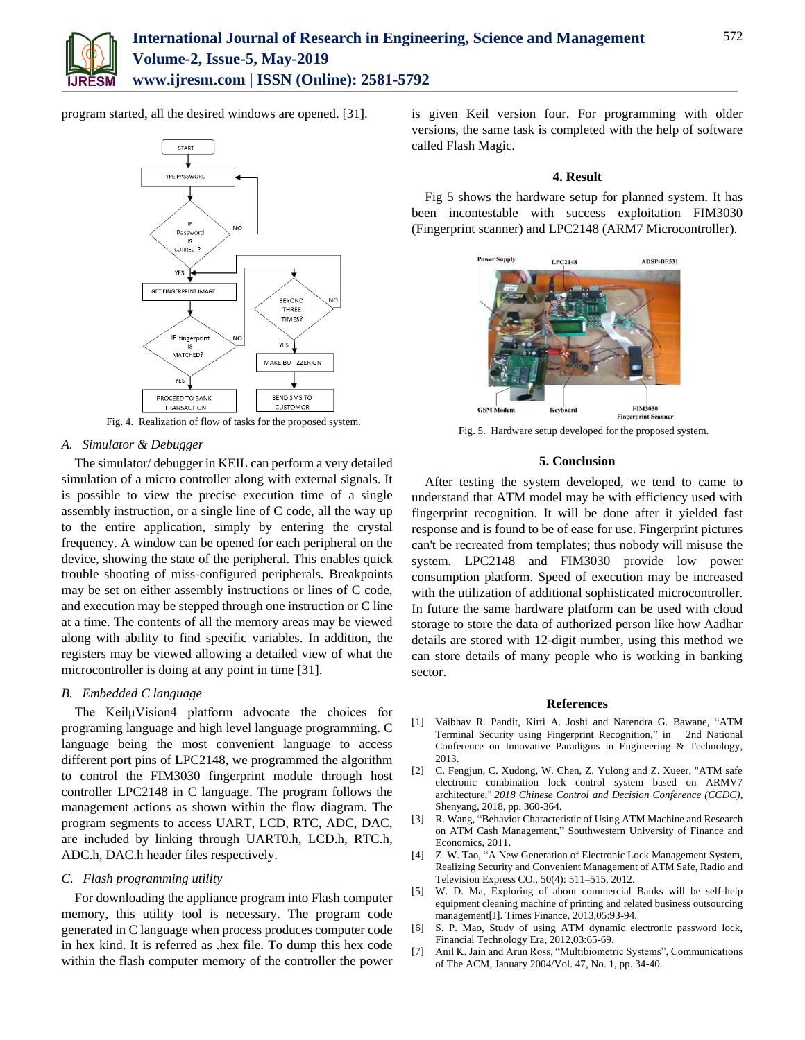

program started, all the desired windows are opened. [31].



Fig. 4. Realization of flow of tasks for the proposed system.

## *A. Simulator & Debugger*

The simulator/ debugger in KEIL can perform a very detailed simulation of a micro controller along with external signals. It is possible to view the precise execution time of a single assembly instruction, or a single line of C code, all the way up to the entire application, simply by entering the crystal frequency. A window can be opened for each peripheral on the device, showing the state of the peripheral. This enables quick trouble shooting of miss-configured peripherals. Breakpoints may be set on either assembly instructions or lines of C code, and execution may be stepped through one instruction or C line at a time. The contents of all the memory areas may be viewed along with ability to find specific variables. In addition, the registers may be viewed allowing a detailed view of what the microcontroller is doing at any point in time [31].

# *B. Embedded C language*

The KeilµVision4 platform advocate the choices for programing language and high level language programming. C language being the most convenient language to access different port pins of LPC2148, we programmed the algorithm to control the FIM3030 fingerprint module through host controller LPC2148 in C language. The program follows the management actions as shown within the flow diagram. The program segments to access UART, LCD, RTC, ADC, DAC, are included by linking through UART0.h, LCD.h, RTC.h, ADC.h, DAC.h header files respectively.

# *C. Flash programming utility*

For downloading the appliance program into Flash computer memory, this utility tool is necessary. The program code generated in C language when process produces computer code in hex kind. It is referred as .hex file. To dump this hex code within the flash computer memory of the controller the power

is given Keil version four. For programming with older versions, the same task is completed with the help of software called Flash Magic.

#### **4. Result**

Fig 5 shows the hardware setup for planned system. It has been incontestable with success exploitation FIM3030 (Fingerprint scanner) and LPC2148 (ARM7 Microcontroller).



Fig. 5. Hardware setup developed for the proposed system.

### **5. Conclusion**

After testing the system developed, we tend to came to understand that ATM model may be with efficiency used with fingerprint recognition. It will be done after it yielded fast response and is found to be of ease for use. Fingerprint pictures can't be recreated from templates; thus nobody will misuse the system. LPC2148 and FIM3030 provide low power consumption platform. Speed of execution may be increased with the utilization of additional sophisticated microcontroller. In future the same hardware platform can be used with cloud storage to store the data of authorized person like how Aadhar details are stored with 12-digit number, using this method we can store details of many people who is working in banking sector.

#### **References**

- [1] Vaibhav R. Pandit, Kirti A. Joshi and Narendra G. Bawane, "ATM Terminal Security using Fingerprint Recognition," in 2nd National Conference on Innovative Paradigms in Engineering & Technology, 2013.
- [2] C. Fengjun, C. Xudong, W. Chen, Z. Yulong and Z. Xueer, "ATM safe electronic combination lock control system based on ARMV7 architecture," *2018 Chinese Control and Decision Conference (CCDC)*, Shenyang, 2018, pp. 360-364.
- [3] R. Wang, "Behavior Characteristic of Using ATM Machine and Research on ATM Cash Management," Southwestern University of Finance and Economics, 2011.
- [4] Z. W. Tao, "A New Generation of Electronic Lock Management System, Realizing Security and Convenient Management of ATM Safe, Radio and Television Express CO., 50(4): 511–515, 2012.
- [5] W. D. Ma, Exploring of about commercial Banks will be self-help equipment cleaning machine of printing and related business outsourcing management[J]. Times Finance, 2013,05:93-94.
- [6] S. P. Mao, Study of using ATM dynamic electronic password lock, Financial Technology Era, 2012,03:65-69.
- [7] Anil K. Jain and Arun Ross, "Multibiometric Systems", Communications of The ACM, January 2004/Vol. 47, No. 1, pp. 34-40.